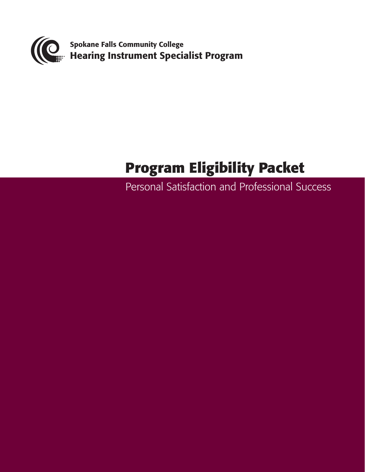

# **Program Eligibility Packet**

Personal Satisfaction and Professional Success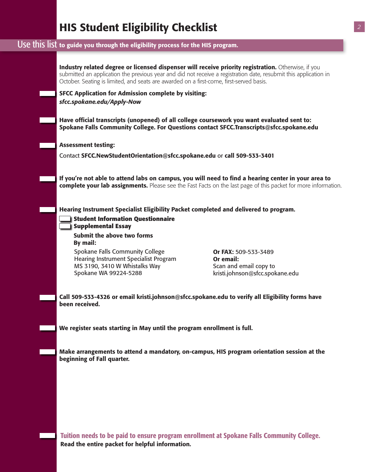# HIS Student Eligibility Checklist

### Use this list to guide you through the eligibility process for the HIS program.

| Industry related degree or licensed dispenser will receive priority registration. Otherwise, if you<br>submitted an application the previous year and did not receive a registration date, resubmit this application in<br>October. Seating is limited, and seats are awarded on a first-come, first-served basis. |                                                                                                |  |  |  |  |
|--------------------------------------------------------------------------------------------------------------------------------------------------------------------------------------------------------------------------------------------------------------------------------------------------------------------|------------------------------------------------------------------------------------------------|--|--|--|--|
| <b>SFCC Application for Admission complete by visiting:</b>                                                                                                                                                                                                                                                        |                                                                                                |  |  |  |  |
| sfcc.spokane.edu/Apply-Now                                                                                                                                                                                                                                                                                         |                                                                                                |  |  |  |  |
| Have official transcripts (unopened) of all college coursework you want evaluated sent to:                                                                                                                                                                                                                         | Spokane Falls Community College. For Questions contact SFCC.Transcripts@sfcc.spokane.edu       |  |  |  |  |
| <b>Assessment testing:</b>                                                                                                                                                                                                                                                                                         |                                                                                                |  |  |  |  |
| Contact SFCC.NewStudentOrientation@sfcc.spokane.edu or call 509-533-3401                                                                                                                                                                                                                                           |                                                                                                |  |  |  |  |
| If you're not able to attend labs on campus, you will need to find a hearing center in your area to<br>complete your lab assignments. Please see the Fast Facts on the last page of this packet for more information.                                                                                              |                                                                                                |  |  |  |  |
| Hearing Instrument Specialist Eligibility Packet completed and delivered to program.                                                                                                                                                                                                                               |                                                                                                |  |  |  |  |
| <b>Student Information Questionnaire</b><br><b>Supplemental Essay</b>                                                                                                                                                                                                                                              |                                                                                                |  |  |  |  |
| Submit the above two forms<br>By mail:                                                                                                                                                                                                                                                                             |                                                                                                |  |  |  |  |
| Spokane Falls Community College<br><b>Hearing Instrument Specialist Program</b><br>MS 3190, 3410 W Whistalks Way<br>Spokane WA 99224-5288                                                                                                                                                                          | Or FAX: 509-533-3489<br>Or email:<br>Scan and email copy to<br>kristi.johnson@sfcc.spokane.edu |  |  |  |  |
|                                                                                                                                                                                                                                                                                                                    |                                                                                                |  |  |  |  |
| Call 509-533-4326 or email kristi.johnson@sfcc.spokane.edu to verify all Eligibility forms have<br>been received.                                                                                                                                                                                                  |                                                                                                |  |  |  |  |
| We register seats starting in May until the program enrollment is full.                                                                                                                                                                                                                                            |                                                                                                |  |  |  |  |
|                                                                                                                                                                                                                                                                                                                    |                                                                                                |  |  |  |  |
| beginning of Fall quarter.                                                                                                                                                                                                                                                                                         | Make arrangements to attend a mandatory, on-campus, HIS program orientation session at the     |  |  |  |  |
|                                                                                                                                                                                                                                                                                                                    |                                                                                                |  |  |  |  |
|                                                                                                                                                                                                                                                                                                                    |                                                                                                |  |  |  |  |
|                                                                                                                                                                                                                                                                                                                    |                                                                                                |  |  |  |  |
|                                                                                                                                                                                                                                                                                                                    |                                                                                                |  |  |  |  |

Tuition needs to be paid to ensure program enrollment at Spokane Falls Community College. Read the entire packet for helpful information.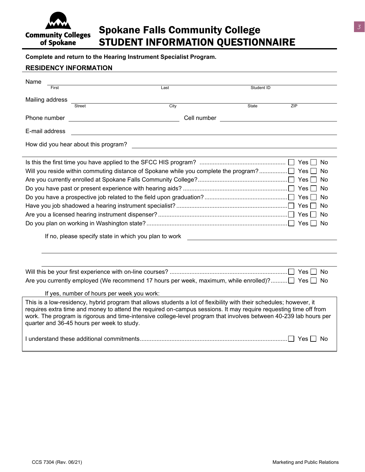

### Spokane Falls Community College STUDENT INFORMATION QUESTIONNAIRE

**Complete and return to the Hearing Instrument Specialist Program.**

#### **RESIDENCY INFORMATION**

| Name                                                                                                                                                                                                                                                                                                                                                                                                       |                                                       |             |              |           |  |  |  |  |
|------------------------------------------------------------------------------------------------------------------------------------------------------------------------------------------------------------------------------------------------------------------------------------------------------------------------------------------------------------------------------------------------------------|-------------------------------------------------------|-------------|--------------|-----------|--|--|--|--|
| First                                                                                                                                                                                                                                                                                                                                                                                                      | Last                                                  |             | Student ID   |           |  |  |  |  |
| Mailing address                                                                                                                                                                                                                                                                                                                                                                                            |                                                       |             |              |           |  |  |  |  |
|                                                                                                                                                                                                                                                                                                                                                                                                            | <b>Street</b>                                         | City        | <b>State</b> | ZIP       |  |  |  |  |
| Phone number                                                                                                                                                                                                                                                                                                                                                                                               | <u> 1989 - Johann Stoff, fransk politik (d. 1989)</u> | Cell number |              |           |  |  |  |  |
| E-mail address                                                                                                                                                                                                                                                                                                                                                                                             |                                                       |             |              |           |  |  |  |  |
| How did you hear about this program?                                                                                                                                                                                                                                                                                                                                                                       |                                                       |             |              |           |  |  |  |  |
| No.                                                                                                                                                                                                                                                                                                                                                                                                        |                                                       |             |              |           |  |  |  |  |
| <b>No</b>                                                                                                                                                                                                                                                                                                                                                                                                  |                                                       |             |              |           |  |  |  |  |
| <b>No</b>                                                                                                                                                                                                                                                                                                                                                                                                  |                                                       |             |              |           |  |  |  |  |
| <b>No</b>                                                                                                                                                                                                                                                                                                                                                                                                  |                                                       |             |              |           |  |  |  |  |
|                                                                                                                                                                                                                                                                                                                                                                                                            |                                                       |             |              | <b>No</b> |  |  |  |  |
|                                                                                                                                                                                                                                                                                                                                                                                                            |                                                       |             |              | No        |  |  |  |  |
|                                                                                                                                                                                                                                                                                                                                                                                                            |                                                       |             |              | No.       |  |  |  |  |
| Yes<br>No                                                                                                                                                                                                                                                                                                                                                                                                  |                                                       |             |              |           |  |  |  |  |
| If no, please specify state in which you plan to work                                                                                                                                                                                                                                                                                                                                                      |                                                       |             |              |           |  |  |  |  |
|                                                                                                                                                                                                                                                                                                                                                                                                            |                                                       |             |              |           |  |  |  |  |
|                                                                                                                                                                                                                                                                                                                                                                                                            |                                                       |             |              |           |  |  |  |  |
|                                                                                                                                                                                                                                                                                                                                                                                                            |                                                       |             |              | No.       |  |  |  |  |
| Are you currently employed (We recommend 17 hours per week, maximum, while enrolled)? $\Box$ Yes $\Box$<br>No.                                                                                                                                                                                                                                                                                             |                                                       |             |              |           |  |  |  |  |
|                                                                                                                                                                                                                                                                                                                                                                                                            | If yes, number of hours per week you work:            |             |              |           |  |  |  |  |
| This is a low-residency, hybrid program that allows students a lot of flexibility with their schedules; however, it<br>requires extra time and money to attend the required on-campus sessions. It may require requesting time off from<br>work. The program is rigorous and time-intensive college-level program that involves between 40-239 lab hours per<br>quarter and 36-45 hours per week to study. |                                                       |             |              |           |  |  |  |  |
| <b>Yes</b><br>No.                                                                                                                                                                                                                                                                                                                                                                                          |                                                       |             |              |           |  |  |  |  |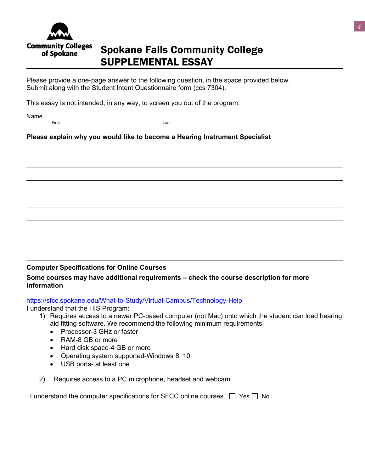

## Spokane Falls Community College SUPPLEMENTAL ESSAY

Please provide a one-page answer to the following question, in the space provided below. Submit along with the Student Intent Questionnaire form (ccs 7304).

This essay is not intended, in any way, to screen you out of the program.

Name

First Last

#### **Please explain why you would like to become a Hearing Instrument Specialist**

#### **Computer Specifications for Online Courses**

#### **Some courses may have additional requirements – check the course description for more information**

[https://sfcc.spokane.edu/What-to-Study/Virtual-Campus/Technology-Help](sfcc.spokane.edu/what-to-study/virtual-campus/technology-help)

I understand that the HIS Program:

- 1) Requires access to a newer PC-based computer (not Mac) onto which the student can load hearing aid fitting software. We recommend the following minimum requirements.
	- Processor-3 GHz or faster
	- RAM-8 GB or more
	- Hard disk space-4 GB or more
	- Operating system supported-Windows 8, 10
	- USB ports- at least one
- 2) Requires access to a PC microphone, headset and webcam.

I understand the computer specifications for SFCC online courses.  $\Box$  Yes  $\Box$  No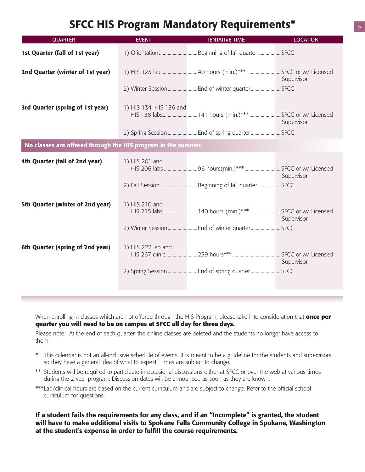### SFCC HIS Program Mandatory Requirements\*

| <b>QUARTER</b>                                                | <b>EVENT</b>            | <b>TENTATIVE TIME</b>                                 | <b>LOCATION</b> |  |  |  |  |
|---------------------------------------------------------------|-------------------------|-------------------------------------------------------|-----------------|--|--|--|--|
| 1st Quarter (fall of 1st year)                                |                         |                                                       |                 |  |  |  |  |
| 2nd Quarter (winter of 1st year)                              |                         |                                                       | Supervisor      |  |  |  |  |
|                                                               |                         |                                                       |                 |  |  |  |  |
| 3rd Quarter (spring of 1st year)                              | 1) HIS 134, HIS 136 and | HIS 138 labs 141 hours (min.)***  SFCC or w/ Licensed | Supervisor      |  |  |  |  |
|                                                               |                         |                                                       |                 |  |  |  |  |
| No classes are offered through the HIS program in the summer. |                         |                                                       |                 |  |  |  |  |
| 4th Quarter (fall of 2nd year)                                | 1) HIS 201 and          |                                                       | Supervisor      |  |  |  |  |
|                                                               |                         |                                                       |                 |  |  |  |  |
| 5th Quarter (winter of 2nd year)                              | 1) HIS 210 and          | HIS 215 labs 140 hours (min.)***  SFCC or w/ Licensed | Supervisor      |  |  |  |  |
|                                                               |                         |                                                       |                 |  |  |  |  |
| 6th Quarter (spring of 2nd year)                              | 1) HIS 222 lab and      |                                                       | Supervisor      |  |  |  |  |
|                                                               |                         |                                                       |                 |  |  |  |  |

When enrolling in classes which are not offered through the HIS Program, please take into consideration that **once per quarter you will need to be on campus at SFCC all day for three days.**

Please note: At the end of each quarter, the online classes are deleted and the students no longer have access to them.

- \* This calendar is not an all-inclusive schedule of events. It is meant to be a guideline for the students and supervisors so they have a general idea of what to expect. Times are subject to change.
- \*\* Students will be required to participate in occasional discussions either at SFCC or over the web at various times during the 2-year program. Discussion dates will be announced as soon as they are known.
- \*\*\*Lab/clinical hours are based on the current curriculum and are subject to change. Refer to the official school curriculum for questions.

If a student fails the requirements for any class, and if an "Incomplete" is granted, the student will have to make additional visits to Spokane Falls Community College in Spokane, Washington at the student's expense in order to fulfill the course requirements.